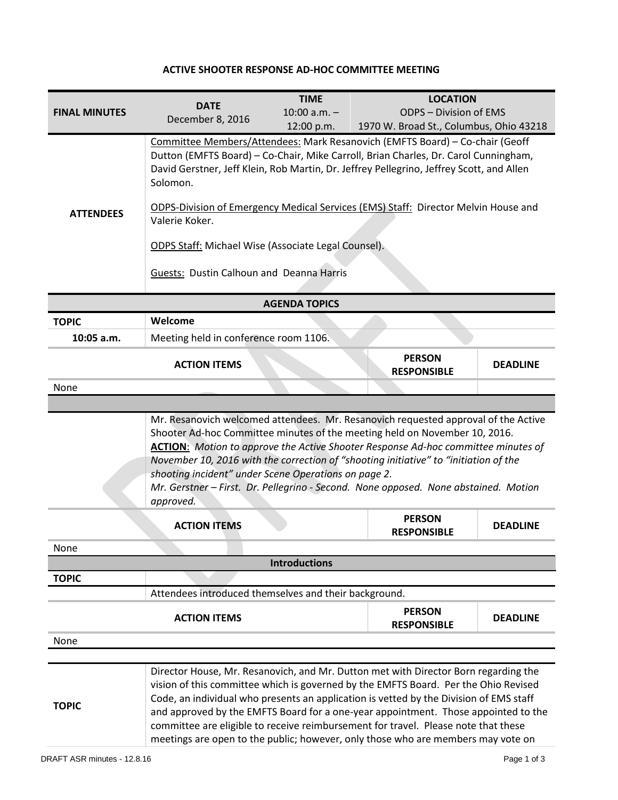## **ACTIVE SHOOTER RESPONSE AD-HOC COMMITTEE MEETING**

|                      | <b>DATE</b>                                                                                                                                                                                                    | <b>TIME</b>                                                                  | <b>LOCATION</b>                         |                 |  |  |
|----------------------|----------------------------------------------------------------------------------------------------------------------------------------------------------------------------------------------------------------|------------------------------------------------------------------------------|-----------------------------------------|-----------------|--|--|
| <b>FINAL MINUTES</b> | December 8, 2016                                                                                                                                                                                               | $10:00$ a.m. $-$                                                             | <b>ODPS - Division of EMS</b>           |                 |  |  |
|                      |                                                                                                                                                                                                                | 12:00 p.m.                                                                   | 1970 W. Broad St., Columbus, Ohio 43218 |                 |  |  |
|                      |                                                                                                                                                                                                                | Committee Members/Attendees: Mark Resanovich (EMFTS Board) - Co-chair (Geoff |                                         |                 |  |  |
|                      | Dutton (EMFTS Board) - Co-Chair, Mike Carroll, Brian Charles, Dr. Carol Cunningham,<br>David Gerstner, Jeff Klein, Rob Martin, Dr. Jeffrey Pellegrino, Jeffrey Scott, and Allen<br>Solomon.                    |                                                                              |                                         |                 |  |  |
|                      |                                                                                                                                                                                                                |                                                                              |                                         |                 |  |  |
|                      |                                                                                                                                                                                                                |                                                                              |                                         |                 |  |  |
| <b>ATTENDEES</b>     | ODPS-Division of Emergency Medical Services (EMS) Staff: Director Melvin House and<br>Valerie Koker.<br><b>ODPS Staff: Michael Wise (Associate Legal Counsel).</b><br>Guests: Dustin Calhoun and Deanna Harris |                                                                              |                                         |                 |  |  |
|                      |                                                                                                                                                                                                                |                                                                              |                                         |                 |  |  |
|                      |                                                                                                                                                                                                                |                                                                              |                                         |                 |  |  |
|                      |                                                                                                                                                                                                                |                                                                              |                                         |                 |  |  |
|                      |                                                                                                                                                                                                                |                                                                              |                                         |                 |  |  |
|                      |                                                                                                                                                                                                                |                                                                              |                                         |                 |  |  |
| <b>AGENDA TOPICS</b> |                                                                                                                                                                                                                |                                                                              |                                         |                 |  |  |
| <b>TOPIC</b>         | Welcome                                                                                                                                                                                                        |                                                                              |                                         |                 |  |  |
| 10:05 a.m.           | Meeting held in conference room 1106.                                                                                                                                                                          |                                                                              |                                         |                 |  |  |
|                      |                                                                                                                                                                                                                |                                                                              | <b>PERSON</b>                           |                 |  |  |
|                      | <b>ACTION ITEMS</b>                                                                                                                                                                                            |                                                                              | <b>RESPONSIBLE</b>                      | <b>DEADLINE</b> |  |  |
| None                 |                                                                                                                                                                                                                |                                                                              |                                         |                 |  |  |
|                      |                                                                                                                                                                                                                |                                                                              |                                         |                 |  |  |
|                      | Mr. Resanovich welcomed attendees. Mr. Resanovich requested approval of the Active                                                                                                                             |                                                                              |                                         |                 |  |  |
|                      | Shooter Ad-hoc Committee minutes of the meeting held on November 10, 2016.                                                                                                                                     |                                                                              |                                         |                 |  |  |
|                      | <b>ACTION:</b> Motion to approve the Active Shooter Response Ad-hoc committee minutes of                                                                                                                       |                                                                              |                                         |                 |  |  |
|                      | November 10, 2016 with the correction of "shooting initiative" to "initiation of the<br>shooting incident" under Scene Operations on page 2.                                                                   |                                                                              |                                         |                 |  |  |
|                      |                                                                                                                                                                                                                |                                                                              |                                         |                 |  |  |
|                      | Mr. Gerstner - First. Dr. Pellegrino - Second. None opposed. None abstained. Motion<br>approved.                                                                                                               |                                                                              |                                         |                 |  |  |
|                      |                                                                                                                                                                                                                |                                                                              |                                         |                 |  |  |
|                      | <b>ACTION ITEMS</b>                                                                                                                                                                                            |                                                                              | <b>PERSON</b><br><b>RESPONSIBLE</b>     | <b>DEADLINE</b> |  |  |
| None                 |                                                                                                                                                                                                                |                                                                              |                                         |                 |  |  |
|                      |                                                                                                                                                                                                                | <b>Introductions</b>                                                         |                                         |                 |  |  |
| <b>TOPIC</b>         |                                                                                                                                                                                                                |                                                                              |                                         |                 |  |  |
|                      | Attendees introduced themselves and their background.                                                                                                                                                          |                                                                              |                                         |                 |  |  |
|                      |                                                                                                                                                                                                                |                                                                              | <b>PERSON</b>                           |                 |  |  |
|                      | <b>ACTION ITEMS</b>                                                                                                                                                                                            |                                                                              | <b>RESPONSIBLE</b>                      | <b>DEADLINE</b> |  |  |
| None                 |                                                                                                                                                                                                                |                                                                              |                                         |                 |  |  |
|                      |                                                                                                                                                                                                                |                                                                              |                                         |                 |  |  |
|                      | Director House, Mr. Resanovich, and Mr. Dutton met with Director Born regarding the                                                                                                                            |                                                                              |                                         |                 |  |  |
|                      | vision of this committee which is governed by the EMFTS Board. Per the Ohio Revised                                                                                                                            |                                                                              |                                         |                 |  |  |
|                      | Code, an individual who presents an application is vetted by the Division of EMS staff                                                                                                                         |                                                                              |                                         |                 |  |  |
| <b>TOPIC</b>         | and approved by the EMFTS Board for a one-year appointment. Those appointed to the                                                                                                                             |                                                                              |                                         |                 |  |  |
|                      | committee are eligible to receive reimbursement for travel. Please note that these                                                                                                                             |                                                                              |                                         |                 |  |  |
|                      | meetings are open to the public; however, only those who are members may vote on                                                                                                                               |                                                                              |                                         |                 |  |  |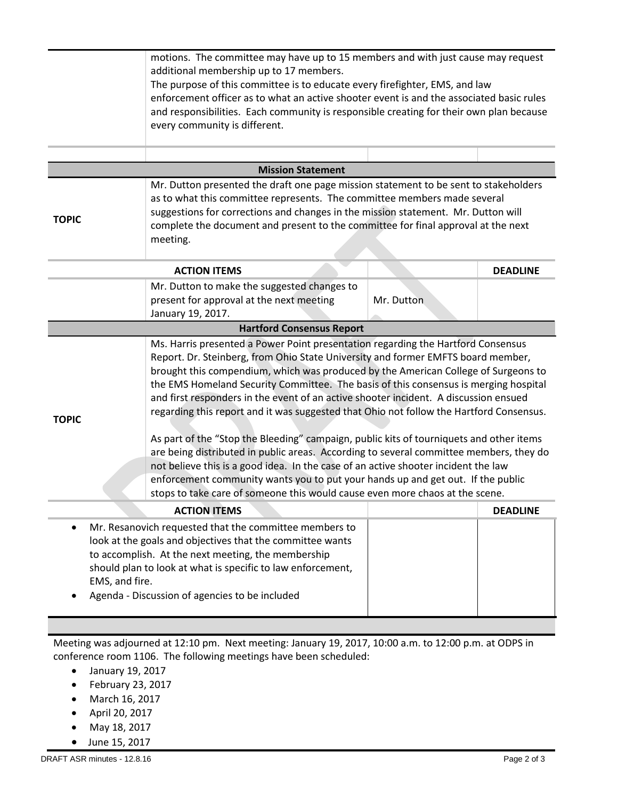|                                                                                                                                                                                                                                                                                                                                                                        | motions. The committee may have up to 15 members and with just cause may request<br>additional membership up to 17 members.<br>The purpose of this committee is to educate every firefighter, EMS, and law<br>enforcement officer as to what an active shooter event is and the associated basic rules<br>and responsibilities. Each community is responsible creating for their own plan because<br>every community is different.                                                                                                                                                                                                                                                                                                                                                                                                                                                                                                                                                  |            |                 |  |  |
|------------------------------------------------------------------------------------------------------------------------------------------------------------------------------------------------------------------------------------------------------------------------------------------------------------------------------------------------------------------------|-------------------------------------------------------------------------------------------------------------------------------------------------------------------------------------------------------------------------------------------------------------------------------------------------------------------------------------------------------------------------------------------------------------------------------------------------------------------------------------------------------------------------------------------------------------------------------------------------------------------------------------------------------------------------------------------------------------------------------------------------------------------------------------------------------------------------------------------------------------------------------------------------------------------------------------------------------------------------------------|------------|-----------------|--|--|
| <b>Mission Statement</b>                                                                                                                                                                                                                                                                                                                                               |                                                                                                                                                                                                                                                                                                                                                                                                                                                                                                                                                                                                                                                                                                                                                                                                                                                                                                                                                                                     |            |                 |  |  |
| Mr. Dutton presented the draft one page mission statement to be sent to stakeholders<br>as to what this committee represents. The committee members made several<br>suggestions for corrections and changes in the mission statement. Mr. Dutton will<br><b>TOPIC</b><br>complete the document and present to the committee for final approval at the next<br>meeting. |                                                                                                                                                                                                                                                                                                                                                                                                                                                                                                                                                                                                                                                                                                                                                                                                                                                                                                                                                                                     |            |                 |  |  |
|                                                                                                                                                                                                                                                                                                                                                                        | <b>ACTION ITEMS</b>                                                                                                                                                                                                                                                                                                                                                                                                                                                                                                                                                                                                                                                                                                                                                                                                                                                                                                                                                                 |            | <b>DEADLINE</b> |  |  |
|                                                                                                                                                                                                                                                                                                                                                                        | Mr. Dutton to make the suggested changes to<br>present for approval at the next meeting<br>January 19, 2017.                                                                                                                                                                                                                                                                                                                                                                                                                                                                                                                                                                                                                                                                                                                                                                                                                                                                        | Mr. Dutton |                 |  |  |
|                                                                                                                                                                                                                                                                                                                                                                        | <b>Hartford Consensus Report</b>                                                                                                                                                                                                                                                                                                                                                                                                                                                                                                                                                                                                                                                                                                                                                                                                                                                                                                                                                    |            |                 |  |  |
| <b>TOPIC</b>                                                                                                                                                                                                                                                                                                                                                           | Ms. Harris presented a Power Point presentation regarding the Hartford Consensus<br>Report. Dr. Steinberg, from Ohio State University and former EMFTS board member,<br>brought this compendium, which was produced by the American College of Surgeons to<br>the EMS Homeland Security Committee. The basis of this consensus is merging hospital<br>and first responders in the event of an active shooter incident. A discussion ensued<br>regarding this report and it was suggested that Ohio not follow the Hartford Consensus.<br>As part of the "Stop the Bleeding" campaign, public kits of tourniquets and other items<br>are being distributed in public areas. According to several committee members, they do<br>not believe this is a good idea. In the case of an active shooter incident the law<br>enforcement community wants you to put your hands up and get out. If the public<br>stops to take care of someone this would cause even more chaos at the scene. |            |                 |  |  |
|                                                                                                                                                                                                                                                                                                                                                                        | <b>ACTION ITEMS</b>                                                                                                                                                                                                                                                                                                                                                                                                                                                                                                                                                                                                                                                                                                                                                                                                                                                                                                                                                                 |            | <b>DEADLINE</b> |  |  |
| Mr. Resanovich requested that the committee members to<br>look at the goals and objectives that the committee wants<br>to accomplish. At the next meeting, the membership<br>should plan to look at what is specific to law enforcement,<br>EMS, and fire.<br>Agenda - Discussion of agencies to be included                                                           |                                                                                                                                                                                                                                                                                                                                                                                                                                                                                                                                                                                                                                                                                                                                                                                                                                                                                                                                                                                     |            |                 |  |  |
| Meeting was adjourned at 12:10 pm. Next meeting: January 19, 2017, 10:00 a.m. to 12:00 p.m. at ODPS in                                                                                                                                                                                                                                                                 |                                                                                                                                                                                                                                                                                                                                                                                                                                                                                                                                                                                                                                                                                                                                                                                                                                                                                                                                                                                     |            |                 |  |  |

conference room 1106. The following meetings have been scheduled:

- January 19, 2017
- $\bullet$  February 23, 2017
- March 16, 2017
- April 20, 2017
- May 18, 2017
- June 15, 2017